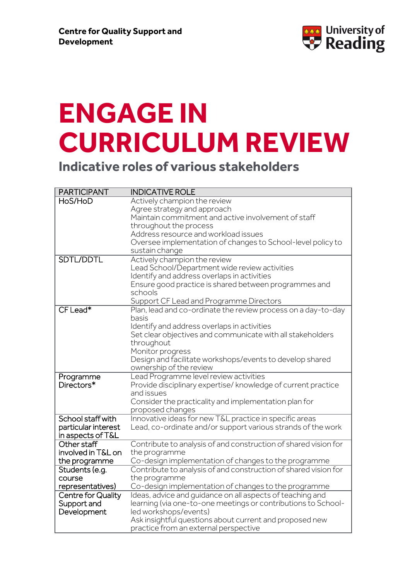

## **ENGAGE IN CURRICULUM REVIEW**

**Indicative roles of various stakeholders**

| <b>PARTICIPANT</b>        | <b>INDICATIVE ROLE</b>                                          |
|---------------------------|-----------------------------------------------------------------|
| HoS/HoD                   | Actively champion the review                                    |
|                           | Agree strategy and approach                                     |
|                           | Maintain commitment and active involvement of staff             |
|                           | throughout the process                                          |
|                           | Address resource and workload issues                            |
|                           | Oversee implementation of changes to School-level policy to     |
|                           | sustain change                                                  |
| SDTL/DDTL                 | Actively champion the review                                    |
|                           | Lead School/Department wide review activities                   |
|                           | Identify and address overlaps in activities                     |
|                           | Ensure good practice is shared between programmes and           |
|                           | schools                                                         |
|                           | Support CF Lead and Programme Directors                         |
| $CF$ Lead*                | Plan, lead and co-ordinate the review process on a day-to-day   |
|                           | basis                                                           |
|                           | Identify and address overlaps in activities                     |
|                           | Set clear objectives and communicate with all stakeholders      |
|                           | throughout                                                      |
|                           | Monitor progress                                                |
|                           | Design and facilitate workshops/events to develop shared        |
|                           | ownership of the review                                         |
| Programme                 | Lead Programme level review activities                          |
| Directors*                | Provide disciplinary expertise/ knowledge of current practice   |
|                           | and issues                                                      |
|                           | Consider the practicality and implementation plan for           |
|                           | proposed changes                                                |
| School staff with         | Innovative ideas for new T&L practice in specific areas         |
| particular interest       | Lead, co-ordinate and/or support various strands of the work    |
| in aspects of T&L         |                                                                 |
| Other staff               | Contribute to analysis of and construction of shared vision for |
| involved in T&L on        | the programme                                                   |
| the programme             | Co-design implementation of changes to the programme            |
| Students (e.g.            | Contribute to analysis of and construction of shared vision for |
| course                    | the programme                                                   |
| representatives)          | Co-design implementation of changes to the programme            |
| <b>Centre for Quality</b> | Ideas, advice and quidance on all aspects of teaching and       |
| Support and               | learning (via one-to-one meetings or contributions to School-   |
| Development               | led workshops/events)                                           |
|                           | Ask insightful questions about current and proposed new         |
|                           | practice from an external perspective                           |